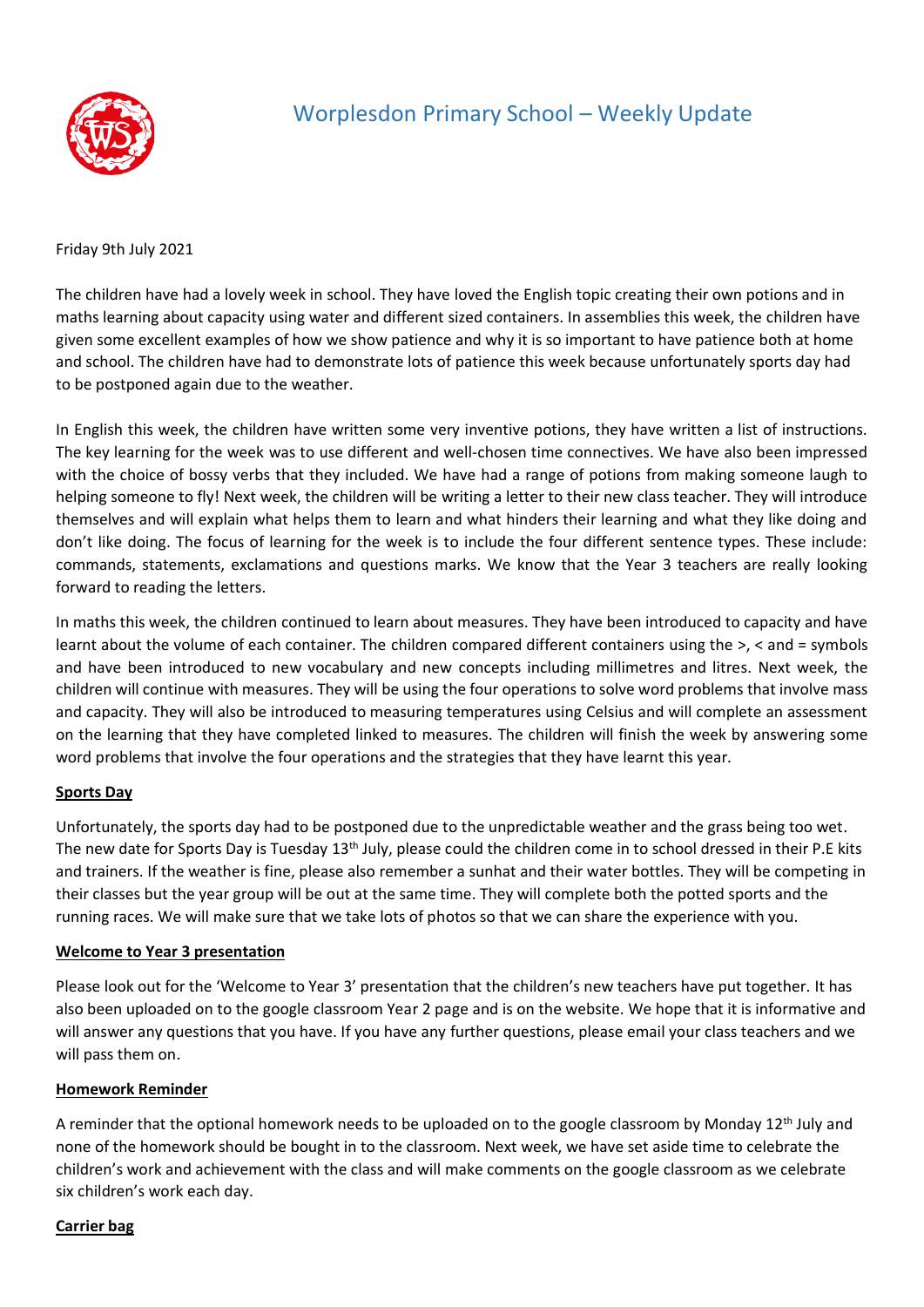

## Worplesdon Primary School – Weekly Update

Friday 9th July 2021

The children have had a lovely week in school. They have loved the English topic creating their own potions and in maths learning about capacity using water and different sized containers. In assemblies this week, the children have given some excellent examples of how we show patience and why it is so important to have patience both at home and school. The children have had to demonstrate lots of patience this week because unfortunately sports day had to be postponed again due to the weather.

In English this week, the children have written some very inventive potions, they have written a list of instructions. The key learning for the week was to use different and well-chosen time connectives. We have also been impressed with the choice of bossy verbs that they included. We have had a range of potions from making someone laugh to helping someone to fly! Next week, the children will be writing a letter to their new class teacher. They will introduce themselves and will explain what helps them to learn and what hinders their learning and what they like doing and don't like doing. The focus of learning for the week is to include the four different sentence types. These include: commands, statements, exclamations and questions marks. We know that the Year 3 teachers are really looking forward to reading the letters.

In maths this week, the children continued to learn about measures. They have been introduced to capacity and have learnt about the volume of each container. The children compared different containers using the >, < and = symbols and have been introduced to new vocabulary and new concepts including millimetres and litres. Next week, the children will continue with measures. They will be using the four operations to solve word problems that involve mass and capacity. They will also be introduced to measuring temperatures using Celsius and will complete an assessment on the learning that they have completed linked to measures. The children will finish the week by answering some word problems that involve the four operations and the strategies that they have learnt this year.

### **Sports Day**

Unfortunately, the sports day had to be postponed due to the unpredictable weather and the grass being too wet. The new date for Sports Day is Tuesday 13<sup>th</sup> July, please could the children come in to school dressed in their P.E kits and trainers. If the weather is fine, please also remember a sunhat and their water bottles. They will be competing in their classes but the year group will be out at the same time. They will complete both the potted sports and the running races. We will make sure that we take lots of photos so that we can share the experience with you.

### **Welcome to Year 3 presentation**

Please look out for the 'Welcome to Year 3' presentation that the children's new teachers have put together. It has also been uploaded on to the google classroom Year 2 page and is on the website. We hope that it is informative and will answer any questions that you have. If you have any further questions, please email your class teachers and we will pass them on.

### **Homework Reminder**

A reminder that the optional homework needs to be uploaded on to the google classroom by Monday 12<sup>th</sup> July and none of the homework should be bought in to the classroom. Next week, we have set aside time to celebrate the children's work and achievement with the class and will make comments on the google classroom as we celebrate six children's work each day.

#### **Carrier bag**